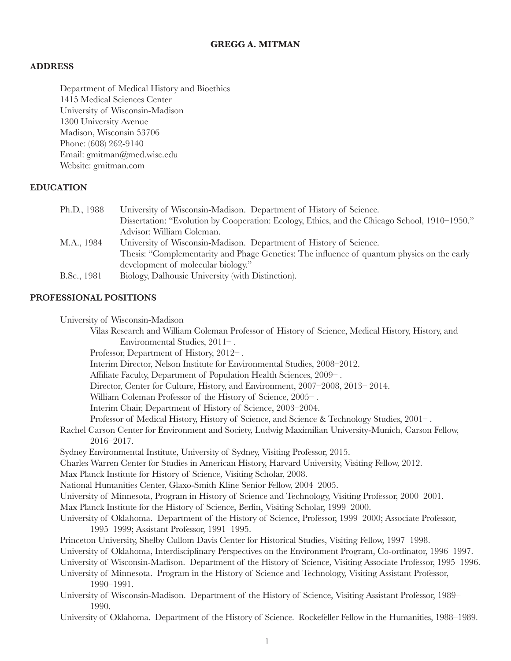# **GREGG A. MITMAN**

## **ADDRESS**

Department of Medical History and Bioethics 1415 Medical Sciences Center University of Wisconsin-Madison 1300 University Avenue Madison, Wisconsin 53706 Phone: (608) 262-9140 Email: gmitman@med.wisc.edu Website: gmitman.com

## **EDUCATION**

| Ph.D., 1988 | University of Wisconsin-Madison. Department of History of Science.                            |
|-------------|-----------------------------------------------------------------------------------------------|
|             | Dissertation: "Evolution by Cooperation: Ecology, Ethics, and the Chicago School, 1910–1950." |
|             | Advisor: William Coleman.                                                                     |
| M.A., 1984  | University of Wisconsin-Madison. Department of History of Science.                            |
|             | Thesis: "Complementarity and Phage Genetics: The influence of quantum physics on the early    |
|             | development of molecular biology."                                                            |
| B.Sc., 1981 | Biology, Dalhousie University (with Distinction).                                             |
|             |                                                                                               |

## **PROFESSIONAL POSITIONS**

| University of Wisconsin-Madison |  |  |
|---------------------------------|--|--|
|---------------------------------|--|--|

Vilas Research and William Coleman Professor of History of Science, Medical History, History, and Environmental Studies, 2011– .

Professor, Department of History, 2012– .

Interim Director, Nelson Institute for Environmental Studies, 2008–2012.

Affiliate Faculty, Department of Population Health Sciences, 2009– .

Director, Center for Culture, History, and Environment, 2007–2008, 2013– 2014.

William Coleman Professor of the History of Science, 2005– .

Interim Chair, Department of History of Science, 2003–2004.

Professor of Medical History, History of Science, and Science & Technology Studies, 2001– .

Rachel Carson Center for Environment and Society, Ludwig Maximilian University-Munich, Carson Fellow, 2016–2017.

Sydney Environmental Institute, University of Sydney, Visiting Professor, 2015.

Charles Warren Center for Studies in American History, Harvard University, Visiting Fellow, 2012.

Max Planck Institute for History of Science, Visiting Scholar, 2008.

National Humanities Center, Glaxo-Smith Kline Senior Fellow, 2004–2005.

University of Minnesota, Program in History of Science and Technology, Visiting Professor, 2000–2001.

Max Planck Institute for the History of Science, Berlin, Visiting Scholar, 1999–2000.

- University of Oklahoma. Department of the History of Science, Professor, 1999–2000; Associate Professor, 1995–1999; Assistant Professor, 1991–1995.
- Princeton University, Shelby Cullom Davis Center for Historical Studies, Visiting Fellow, 1997–1998.

University of Oklahoma, Interdisciplinary Perspectives on the Environment Program, Co-ordinator, 1996–1997.

University of Wisconsin-Madison. Department of the History of Science, Visiting Associate Professor, 1995–1996.

- University of Minnesota. Program in the History of Science and Technology, Visiting Assistant Professor, 1990–1991.
- University of Wisconsin-Madison. Department of the History of Science, Visiting Assistant Professor, 1989– 1990.
- University of Oklahoma. Department of the History of Science. Rockefeller Fellow in the Humanities, 1988–1989.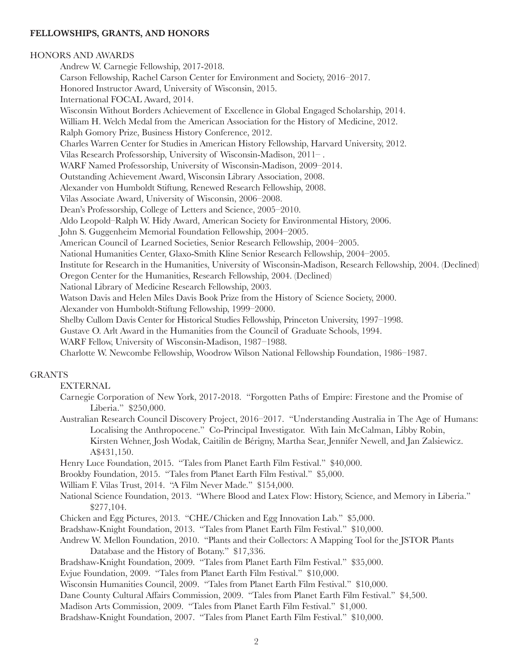# **FELLOWSHIPS, GRANTS, AND HONORS**

#### HONORS AND AWARDS

Andrew W. Carnegie Fellowship, 2017-2018. Carson Fellowship, Rachel Carson Center for Environment and Society, 2016–2017. Honored Instructor Award, University of Wisconsin, 2015. International FOCAL Award, 2014. Wisconsin Without Borders Achievement of Excellence in Global Engaged Scholarship, 2014. William H. Welch Medal from the American Association for the History of Medicine, 2012. Ralph Gomory Prize, Business History Conference, 2012. Charles Warren Center for Studies in American History Fellowship, Harvard University, 2012. Vilas Research Professorship, University of Wisconsin-Madison, 2011– . WARF Named Professorship, University of Wisconsin-Madison, 2009–2014. Outstanding Achievement Award, Wisconsin Library Association, 2008. Alexander von Humboldt Stiftung, Renewed Research Fellowship, 2008. Vilas Associate Award, University of Wisconsin, 2006–2008. Dean's Professorship, College of Letters and Science, 2005–2010. Aldo Leopold–Ralph W. Hidy Award, American Society for Environmental History, 2006. John S. Guggenheim Memorial Foundation Fellowship, 2004–2005. American Council of Learned Societies, Senior Research Fellowship, 2004–2005. National Humanities Center, Glaxo-Smith Kline Senior Research Fellowship, 2004–2005. Institute for Research in the Humanities, University of Wisconsin-Madison, Research Fellowship, 2004. (Declined) Oregon Center for the Humanities, Research Fellowship, 2004. (Declined) National Library of Medicine Research Fellowship, 2003. Watson Davis and Helen Miles Davis Book Prize from the History of Science Society, 2000. Alexander von Humboldt-Stiftung Fellowship, 1999–2000. Shelby Cullom Davis Center for Historical Studies Fellowship, Princeton University, 1997–1998. Gustave O. Arlt Award in the Humanities from the Council of Graduate Schools, 1994. WARF Fellow, University of Wisconsin-Madison, 1987–1988.

Charlotte W. Newcombe Fellowship, Woodrow Wilson National Fellowship Foundation, 1986–1987.

## GRANTS

EXTERNAL

- Carnegie Corporation of New York, 2017-2018. "Forgotten Paths of Empire: Firestone and the Promise of Liberia." \$250,000.
- Australian Research Council Discovery Project, 2016–2017. "Understanding Australia in The Age of Humans: Localising the Anthropocene." Co-Principal Investigator. With Iain McCalman, Libby Robin, Kirsten Wehner, Josh Wodak, Caitilin de Bérigny, Martha Sear, Jennifer Newell, and Jan Zalsiewicz. A\$431,150.

Henry Luce Foundation, 2015. "Tales from Planet Earth Film Festival." \$40,000.

Brookby Foundation, 2015. "Tales from Planet Earth Film Festival." \$5,000.

William F. Vilas Trust, 2014. "A Film Never Made." \$154,000.

- National Science Foundation, 2013. "Where Blood and Latex Flow: History, Science, and Memory in Liberia." \$277,104.
- Chicken and Egg Pictures, 2013. "CHE/Chicken and Egg Innovation Lab." \$5,000.
- Bradshaw-Knight Foundation, 2013. "Tales from Planet Earth Film Festival." \$10,000.
- Andrew W. Mellon Foundation, 2010. "Plants and their Collectors: A Mapping Tool for the JSTOR Plants Database and the History of Botany." \$17,336.
- Bradshaw-Knight Foundation, 2009. "Tales from Planet Earth Film Festival." \$35,000.

Evjue Foundation, 2009. "Tales from Planet Earth Film Festival." \$10,000.

- Wisconsin Humanities Council, 2009. "Tales from Planet Earth Film Festival." \$10,000.
- Dane County Cultural Affairs Commission, 2009. "Tales from Planet Earth Film Festival." \$4,500.

Madison Arts Commission, 2009. "Tales from Planet Earth Film Festival." \$1,000.

Bradshaw-Knight Foundation, 2007. "Tales from Planet Earth Film Festival." \$10,000.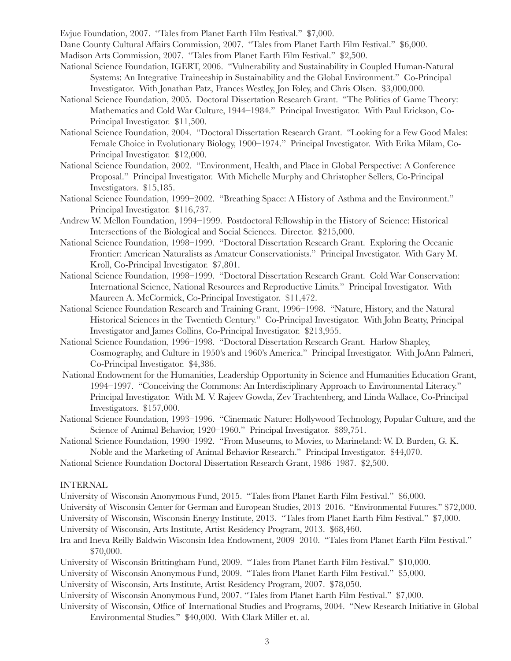Evjue Foundation, 2007. "Tales from Planet Earth Film Festival." \$7,000.

Dane County Cultural Affairs Commission, 2007. "Tales from Planet Earth Film Festival." \$6,000.

Madison Arts Commission, 2007. "Tales from Planet Earth Film Festival." \$2,500.

- National Science Foundation, IGERT, 2006. "Vulnerability and Sustainability in Coupled Human-Natural Systems: An Integrative Traineeship in Sustainability and the Global Environment." Co-Principal Investigator. With Jonathan Patz, Frances Westley, Jon Foley, and Chris Olsen. \$3,000,000.
- National Science Foundation, 2005. Doctoral Dissertation Research Grant. "The Politics of Game Theory: Mathematics and Cold War Culture, 1944–1984." Principal Investigator. With Paul Erickson, Co-Principal Investigator. \$11,500.
- National Science Foundation, 2004. "Doctoral Dissertation Research Grant. "Looking for a Few Good Males: Female Choice in Evolutionary Biology, 1900–1974." Principal Investigator. With Erika Milam, Co-Principal Investigator. \$12,000.
- National Science Foundation, 2002. "Environment, Health, and Place in Global Perspective: A Conference Proposal." Principal Investigator. With Michelle Murphy and Christopher Sellers, Co-Principal Investigators. \$15,185.
- National Science Foundation, 1999–2002. "Breathing Space: A History of Asthma and the Environment." Principal Investigator. \$116,737.
- Andrew W. Mellon Foundation, 1994–1999. Postdoctoral Fellowship in the History of Science: Historical Intersections of the Biological and Social Sciences. Director. \$215,000.
- National Science Foundation, 1998–1999. "Doctoral Dissertation Research Grant. Exploring the Oceanic Frontier: American Naturalists as Amateur Conservationists." Principal Investigator. With Gary M. Kroll, Co-Principal Investigator. \$7,801.
- National Science Foundation, 1998–1999. "Doctoral Dissertation Research Grant. Cold War Conservation: International Science, National Resources and Reproductive Limits." Principal Investigator. With Maureen A. McCormick, Co-Principal Investigator. \$11,472.
- National Science Foundation Research and Training Grant, 1996–1998. "Nature, History, and the Natural Historical Sciences in the Twentieth Century." Co-Principal Investigator. With John Beatty, Principal Investigator and James Collins, Co-Principal Investigator. \$213,955.
- National Science Foundation, 1996–1998. "Doctoral Dissertation Research Grant. Harlow Shapley, Cosmography, and Culture in 1950's and 1960's America." Principal Investigator. With JoAnn Palmeri, Co-Principal Investigator. \$4,386.
- National Endowment for the Humanities, Leadership Opportunity in Science and Humanities Education Grant, 1994–1997. "Conceiving the Commons: An Interdisciplinary Approach to Environmental Literacy." Principal Investigator. With M. V. Rajeev Gowda, Zev Trachtenberg, and Linda Wallace, Co-Principal Investigators. \$157,000.
- National Science Foundation, 1993–1996. "Cinematic Nature: Hollywood Technology, Popular Culture, and the Science of Animal Behavior, 1920–1960." Principal Investigator. \$89,751.
- National Science Foundation, 1990–1992. "From Museums, to Movies, to Marineland: W. D. Burden, G. K. Noble and the Marketing of Animal Behavior Research." Principal Investigator. \$44,070.
- National Science Foundation Doctoral Dissertation Research Grant, 1986–1987. \$2,500.

#### INTERNAL

University of Wisconsin Anonymous Fund, 2015. "Tales from Planet Earth Film Festival." \$6,000.

- University of Wisconsin Center for German and European Studies, 2013–2016. "Environmental Futures." \$72,000.
- University of Wisconsin, Wisconsin Energy Institute, 2013. "Tales from Planet Earth Film Festival." \$7,000.

University of Wisconsin, Arts Institute, Artist Residency Program, 2013. \$68,460.

- Ira and Ineva Reilly Baldwin Wisconsin Idea Endowment, 2009–2010. "Tales from Planet Earth Film Festival." \$70,000.
- University of Wisconsin Brittingham Fund, 2009. "Tales from Planet Earth Film Festival." \$10,000.
- University of Wisconsin Anonymous Fund, 2009. "Tales from Planet Earth Film Festival." \$5,000.
- University of Wisconsin, Arts Institute, Artist Residency Program, 2007. \$78,050.
- University of Wisconsin Anonymous Fund, 2007. "Tales from Planet Earth Film Festival." \$7,000.
- University of Wisconsin, Office of International Studies and Programs, 2004. "New Research Initiative in Global Environmental Studies." \$40,000. With Clark Miller et. al.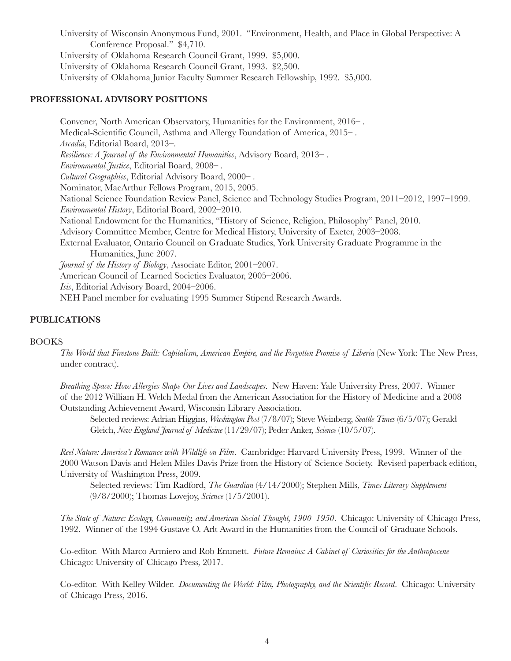University of Wisconsin Anonymous Fund, 2001. "Environment, Health, and Place in Global Perspective: A Conference Proposal." \$4,710. University of Oklahoma Research Council Grant, 1999. \$5,000. University of Oklahoma Research Council Grant, 1993. \$2,500. University of Oklahoma Junior Faculty Summer Research Fellowship, 1992. \$5,000.

## **PROFESSIONAL ADVISORY POSITIONS**

Convener, North American Observatory, Humanities for the Environment, 2016– . Medical-Scientific Council, Asthma and Allergy Foundation of America, 2015– . *Arcadia*, Editorial Board, 2013–. *Resilience: A Journal of the Environmental Humanities*, Advisory Board, 2013– . *Environmental Justice*, Editorial Board, 2008– . *Cultural Geographies*, Editorial Advisory Board, 2000– . Nominator, MacArthur Fellows Program, 2015, 2005. National Science Foundation Review Panel, Science and Technology Studies Program, 2011–2012, 1997–1999. *Environmental History*, Editorial Board, 2002–2010. National Endowment for the Humanities, "History of Science, Religion, Philosophy" Panel, 2010. Advisory Committee Member, Centre for Medical History, University of Exeter, 2003–2008. External Evaluator, Ontario Council on Graduate Studies, York University Graduate Programme in the Humanities, June 2007. *Journal of the History of Biology*, Associate Editor, 2001–2007. American Council of Learned Societies Evaluator, 2005–2006. *Isis*, Editorial Advisory Board, 2004–2006. NEH Panel member for evaluating 1995 Summer Stipend Research Awards.

# **PUBLICATIONS**

## BOOKS

*The World that Firestone Built: Capitalism, American Empire, and the Forgotten Promise of Liberia* (New York: The New Press, under contract).

*Breathing Space: How Allergies Shape Our Lives and Landscapes*. New Haven: Yale University Press, 2007. Winner of the 2012 William H. Welch Medal from the American Association for the History of Medicine and a 2008 Outstanding Achievement Award, Wisconsin Library Association.

Selected reviews: Adrian Higgins, *Washington Post* (7/8/07); Steve Weinberg, *Seattle Times* (6/5/07); Gerald Gleich, *New England Journal of Medicine* (11/29/07); Peder Anker, *Science* (10/5/07).

*Reel Nature: America's Romance with Wildlife on Film*. Cambridge: Harvard University Press, 1999. Winner of the 2000 Watson Davis and Helen Miles Davis Prize from the History of Science Society. Revised paperback edition, University of Washington Press, 2009.

Selected reviews: Tim Radford, *The Guardian* (4/14/2000); Stephen Mills, *Times Literary Supplement* (9/8/2000); Thomas Lovejoy, *Science* (1/5/2001).

*The State of Nature: Ecology, Community, and American Social Thought, 1900–1950*. Chicago: University of Chicago Press, 1992. Winner of the 1994 Gustave O. Arlt Award in the Humanities from the Council of Graduate Schools.

Co-editor. With Marco Armiero and Rob Emmett. *Future Remains: A Cabinet of Curiosities for the Anthropocene* Chicago: University of Chicago Press, 2017.

Co-editor. With Kelley Wilder. *Documenting the World: Film, Photography, and the Scientific Record*. Chicago: University of Chicago Press, 2016.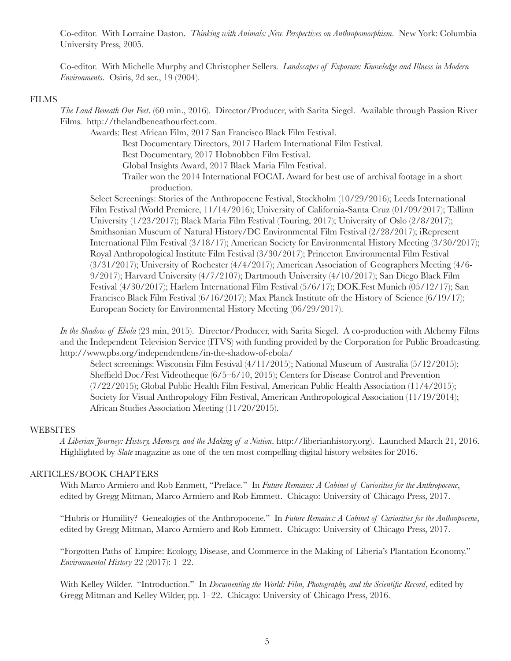Co-editor. With Lorraine Daston. *Thinking with Animals: New Perspectives on Anthropomorphism*. New York: Columbia University Press, 2005.

Co-editor. With Michelle Murphy and Christopher Sellers. *Landscapes of Exposure: Knowledge and Illness in Modern Environments*. Osiris, 2d ser., 19 (2004).

#### FILMS

*The Land Beneath Our Feet*. (60 min., 2016). Director/Producer, with Sarita Siegel. Available through Passion River Films. http://thelandbeneathourfeet.com.

Awards: Best African Film, 2017 San Francisco Black Film Festival. Best Documentary Directors, 2017 Harlem International Film Festival. Best Documentary, 2017 Hobnobben Film Festival. Global Insights Award, 2017 Black Maria Film Festival. Trailer won the 2014 International FOCAL Award for best use of archival footage in a short production.

Select Screenings: Stories of the Anthropocene Festival, Stockholm (10/29/2016); Leeds International Film Festival (World Premiere, 11/14/2016); University of California-Santa Cruz (01/09/2017); Tallinn University (1/23/2017); Black Maria Film Festival (Touring, 2017); University of Oslo (2/8/2017); Smithsonian Museum of Natural History/DC Environmental Film Festival (2/28/2017); iRepresent International Film Festival (3/18/17); American Society for Environmental History Meeting (3/30/2017); Royal Anthropological Institute Film Festival (3/30/2017); Princeton Environmental Film Festival (3/31/2017); University of Rochester (4/4/2017); American Association of Geographers Meeting (4/6- 9/2017); Harvard University (4/7/2107); Dartmouth University (4/10/2017); San Diego Black Film Festival (4/30/2017); Harlem International Film Festival (5/6/17); DOK.Fest Munich (05/12/17); San Francisco Black Film Festival (6/16/2017); Max Planck Institute ofr the History of Science (6/19/17); European Society for Environmental History Meeting (06/29/2017).

*In the Shadow of Ebola* (23 min, 2015). Director/Producer, with Sarita Siegel. A co-production with Alchemy Films and the Independent Television Service (ITVS) with funding provided by the Corporation for Public Broadcasting. http://www.pbs.org/independentlens/in-the-shadow-of-ebola/

Select screenings: Wisconsin Film Festival (4/11/2015); National Museum of Australia (5/12/2015); Sheffield Doc/Fest Videotheque (6/5–6/10, 2015); Centers for Disease Control and Prevention (7/22/2015); Global Public Health Film Festival, American Public Health Association (11/4/2015); Society for Visual Anthropology Film Festival, American Anthropological Association (11/19/2014); African Studies Association Meeting (11/20/2015).

## **WEBSITES**

*A Liberian Journey: History, Memory, and the Making of a Nation*. http://liberianhistory.org). Launched March 21, 2016. Highlighted by *Slate* magazine as one of the ten most compelling digital history websites for 2016.

## ARTICLES/BOOK CHAPTERS

With Marco Armiero and Rob Emmett, "Preface." In *Future Remains: A Cabinet of Curiosities for the Anthropocene*, edited by Gregg Mitman, Marco Armiero and Rob Emmett. Chicago: University of Chicago Press, 2017.

"Hubris or Humility? Genealogies of the Anthropocene." In *Future Remains: A Cabinet of Curiosities for the Anthropocene*, edited by Gregg Mitman, Marco Armiero and Rob Emmett. Chicago: University of Chicago Press, 2017.

"Forgotten Paths of Empire: Ecology, Disease, and Commerce in the Making of Liberia's Plantation Economy." *Environmental History* 22 (2017): 1–22.

With Kelley Wilder. "Introduction." In *Documenting the World: Film, Photography, and the Scientific Record*, edited by Gregg Mitman and Kelley Wilder, pp. 1–22. Chicago: University of Chicago Press, 2016.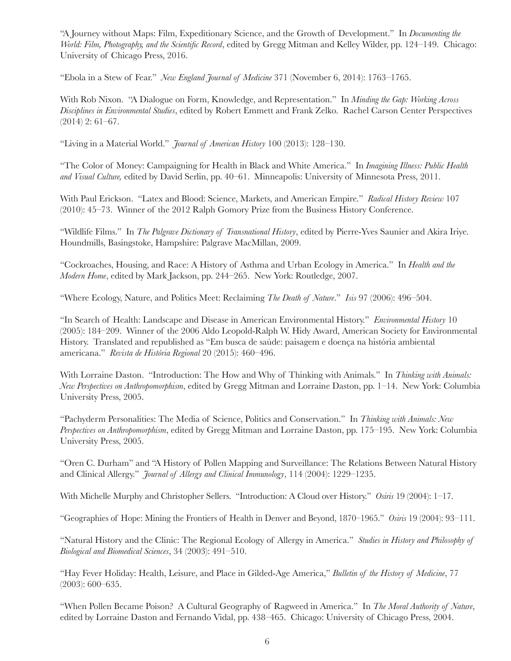"A Journey without Maps: Film, Expeditionary Science, and the Growth of Development." In *Documenting the World: Film, Photography, and the Scientific Record*, edited by Gregg Mitman and Kelley Wilder, pp. 124–149. Chicago: University of Chicago Press, 2016.

"Ebola in a Stew of Fear." *New England Journal of Medicine* 371 (November 6, 2014): 1763–1765.

With Rob Nixon. "A Dialogue on Form, Knowledge, and Representation." In *Minding the Gap: Working Across Disciplines in Environmental Studies*, edited by Robert Emmett and Frank Zelko. Rachel Carson Center Perspectives (2014) 2: 61–67.

"Living in a Material World." *Journal of American History* 100 (2013): 128–130.

"The Color of Money: Campaigning for Health in Black and White America." In *Imagining Illness: Public Health and Visual Culture,* edited by David Serlin, pp. 40–61. Minneapolis: University of Minnesota Press, 2011.

With Paul Erickson. "Latex and Blood: Science, Markets, and American Empire." *Radical History Review* 107 (2010): 45–73. Winner of the 2012 Ralph Gomory Prize from the Business History Conference.

"Wildlife Films." In *The Palgrave Dictionary of Transnational History*, edited by Pierre-Yves Saunier and Akira Iriye. Houndmills, Basingstoke, Hampshire: Palgrave MacMillan, 2009.

"Cockroaches, Housing, and Race: A History of Asthma and Urban Ecology in America." In *Health and the Modern Home*, edited by Mark Jackson, pp. 244–265. New York: Routledge, 2007.

"Where Ecology, Nature, and Politics Meet: Reclaiming *The Death of Nature*." *Isis* 97 (2006): 496–504.

"In Search of Health: Landscape and Disease in American Environmental History." *Environmental History* 10 (2005): 184–209. Winner of the 2006 Aldo Leopold-Ralph W. Hidy Award, American Society for Environmental History. Translated and republished as "Em busca de saúde: paisagem e doença na história ambiental americana." *Revista de História Regional* 20 (2015): 460–496.

With Lorraine Daston. "Introduction: The How and Why of Thinking with Animals." In *Thinking with Animals: New Perspectives on Anthropomorphism*, edited by Gregg Mitman and Lorraine Daston, pp. 1–14. New York: Columbia University Press, 2005.

"Pachyderm Personalities: The Media of Science, Politics and Conservation." In *Thinking with Animals: New Perspectives on Anthropomorphism*, edited by Gregg Mitman and Lorraine Daston, pp. 175–195. New York: Columbia University Press, 2005.

"Oren C. Durham" and "A History of Pollen Mapping and Surveillance: The Relations Between Natural History and Clinical Allergy." *Journal of Allergy and Clinical Immunology*, 114 (2004): 1229–1235.

With Michelle Murphy and Christopher Sellers. "Introduction: A Cloud over History." *Osiris* 19 (2004): 1–17.

"Geographies of Hope: Mining the Frontiers of Health in Denver and Beyond, 1870–1965." *Osiris* 19 (2004): 93–111.

"Natural History and the Clinic: The Regional Ecology of Allergy in America." *Studies in History and Philosophy of Biological and Biomedical Sciences*, 34 (2003): 491–510.

"Hay Fever Holiday: Health, Leisure, and Place in Gilded-Age America," *Bulletin of the History of Medicine*, 77 (2003): 600–635.

"When Pollen Became Poison? A Cultural Geography of Ragweed in America." In *The Moral Authority of Nature*, edited by Lorraine Daston and Fernando Vidal, pp. 438–465. Chicago: University of Chicago Press, 2004.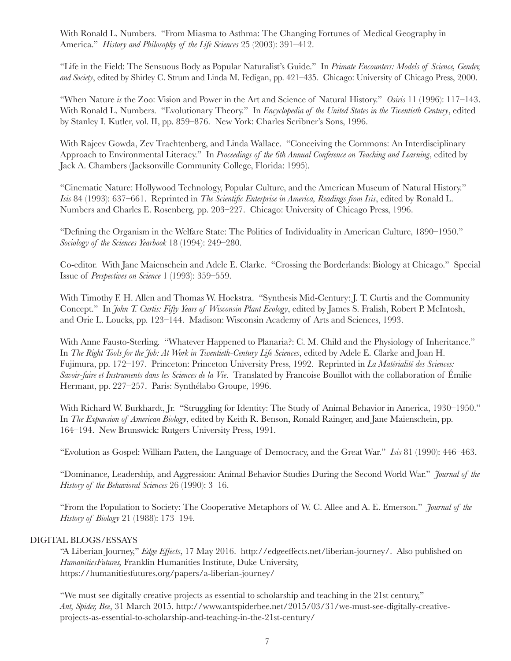With Ronald L. Numbers. "From Miasma to Asthma: The Changing Fortunes of Medical Geography in America." *History and Philosophy of the Life Sciences* 25 (2003): 391–412.

"Life in the Field: The Sensuous Body as Popular Naturalist's Guide." In *Primate Encounters: Models of Science, Gender, and Society*, edited by Shirley C. Strum and Linda M. Fedigan, pp. 421–435. Chicago: University of Chicago Press, 2000.

"When Nature *is* the Zoo: Vision and Power in the Art and Science of Natural History." *Osiris* 11 (1996): 117–143. With Ronald L. Numbers. "Evolutionary Theory." In *Encyclopedia of the United States in the Twentieth Century*, edited by Stanley I. Kutler, vol. II, pp. 859–876. New York: Charles Scribner's Sons, 1996.

With Rajeev Gowda, Zev Trachtenberg, and Linda Wallace. "Conceiving the Commons: An Interdisciplinary Approach to Environmental Literacy." In *Proceedings of the 6th Annual Conference on Teaching and Learning*, edited by Jack A. Chambers (Jacksonville Community College, Florida: 1995).

"Cinematic Nature: Hollywood Technology, Popular Culture, and the American Museum of Natural History." *Isis* 84 (1993): 637–661. Reprinted in *The Scientific Enterprise in America, Readings from Isis*, edited by Ronald L. Numbers and Charles E. Rosenberg, pp. 203–227. Chicago: University of Chicago Press, 1996.

"Defining the Organism in the Welfare State: The Politics of Individuality in American Culture, 1890–1950." *Sociology of the Sciences Yearbook* 18 (1994): 249–280.

Co-editor. With Jane Maienschein and Adele E. Clarke. "Crossing the Borderlands: Biology at Chicago." Special Issue of *Perspectives on Science* 1 (1993): 359–559.

With Timothy F. H. Allen and Thomas W. Hoekstra. "Synthesis Mid-Century: J. T. Curtis and the Community Concept." In *John T. Curtis: Fifty Years of Wisconsin Plant Ecology*, edited by James S. Fralish, Robert P. McIntosh, and Orie L. Loucks, pp. 123–144. Madison: Wisconsin Academy of Arts and Sciences, 1993.

With Anne Fausto-Sterling. "Whatever Happened to Planaria?: C. M. Child and the Physiology of Inheritance." In *The Right Tools for the Job: At Work in Twentieth-Century Life Sciences*, edited by Adele E. Clarke and Joan H. Fujimura, pp. 172–197. Princeton: Princeton University Press, 1992. Reprinted in *La Matérialité des Sciences: Savoir-faire et Instruments dans les Sciences de la Vie*. Translated by Francoise Bouillot with the collaboration of Émilie Hermant, pp. 227–257. Paris: Synthélabo Groupe, 1996.

With Richard W. Burkhardt, Jr. "Struggling for Identity: The Study of Animal Behavior in America, 1930–1950." In *The Expansion of American Biology*, edited by Keith R. Benson, Ronald Rainger, and Jane Maienschein, pp. 164–194. New Brunswick: Rutgers University Press, 1991.

"Evolution as Gospel: William Patten, the Language of Democracy, and the Great War." *Isis* 81 (1990): 446–463.

"Dominance, Leadership, and Aggression: Animal Behavior Studies During the Second World War." *Journal of the History of the Behavioral Sciences* 26 (1990): 3–16.

"From the Population to Society: The Cooperative Metaphors of W. C. Allee and A. E. Emerson." *Journal of the History of Biology* 21 (1988): 173–194.

# DIGITAL BLOGS/ESSAYS

"A Liberian Journey," *Edge Effects*, 17 May 2016. http://edgeeffects.net/liberian-journey/. Also published on *HumanitiesFutures,* Franklin Humanities Institute, Duke University, https://humanitiesfutures.org/papers/a-liberian-journey/

"We must see digitally creative projects as essential to scholarship and teaching in the 21st century," *Ant, Spider, Bee*, 31 March 2015. http://www.antspiderbee.net/2015/03/31/we-must-see-digitally-creativeprojects-as-essential-to-scholarship-and-teaching-in-the-21st-century/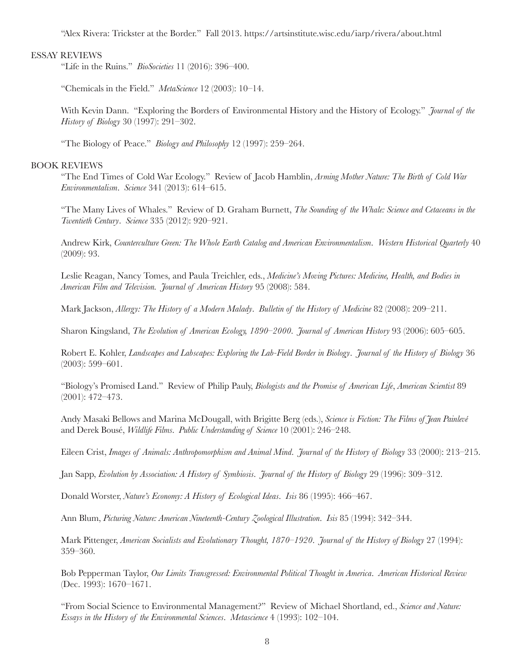"Alex Rivera: Trickster at the Border." Fall 2013. https://artsinstitute.wisc.edu/iarp/rivera/about.html

# ESSAY REVIEWS

"Life in the Ruins." *BioSocieties* 11 (2016): 396–400.

"Chemicals in the Field." *MetaScience* 12 (2003): 10–14.

With Kevin Dann. "Exploring the Borders of Environmental History and the History of Ecology." *Journal of the History of Biology* 30 (1997): 291–302.

"The Biology of Peace." *Biology and Philosophy* 12 (1997): 259–264.

## BOOK REVIEWS

"The End Times of Cold War Ecology." Review of Jacob Hamblin, *Arming Mother Nature: The Birth of Cold War Environmentalism*. *Science* 341 (2013): 614–615.

"The Many Lives of Whales." Review of D. Graham Burnett, *The Sounding of the Whale: Science and Cetaceans in the Twentieth Century*. *Science* 335 (2012): 920–921.

Andrew Kirk, *Counterculture Green: The Whole Earth Catalog and American Environmentalism*. *Western Historical Quarterly* 40 (2009): 93.

Leslie Reagan, Nancy Tomes, and Paula Treichler, eds., *Medicine's Moving Pictures: Medicine, Health, and Bodies in American Film and Television. Journal of American History* 95 (2008): 584.

Mark Jackson, *Allergy: The History of a Modern Malady*. *Bulletin of the History of Medicine* 82 (2008): 209–211.

Sharon Kingsland, *The Evolution of American Ecology, 1890–2000*. *Journal of American History* 93 (2006): 605–605.

Robert E. Kohler, *Landscapes and Labscapes: Exploring the Lab-Field Border in Biology*. *Journal of the History of Biology* 36 (2003): 599–601.

"Biology's Promised Land." Review of Philip Pauly, *Biologists and the Promise of American Life*, *American Scientist* 89 (2001): 472–473.

Andy Masaki Bellows and Marina McDougall, with Brigitte Berg (eds.), *Science is Fiction: The Films of Jean Painlevé* and Derek Bousé, *Wildlife Films*. *Public Understanding of Science* 10 (2001): 246–248.

Eileen Crist, *Images of Animals: Anthropomorphism and Animal Mind*. *Journal of the History of Biology* 33 (2000): 213–215.

Jan Sapp, *Evolution by Association: A History of Symbiosis*. *Journal of the History of Biology* 29 (1996): 309–312.

Donald Worster, *Nature's Economy: A History of Ecological Ideas*. *Isis* 86 (1995): 466–467.

Ann Blum, *Picturing Nature: American Nineteenth-Century Zoological Illustration*. *Isis* 85 (1994): 342–344.

Mark Pittenger, *American Socialists and Evolutionary Thought, 1870–1920*. *Journal of the History of Biology* 27 (1994): 359–360.

Bob Pepperman Taylor, *Our Limits Transgressed: Environmental Political Thought in America*. *American Historical Review* (Dec. 1993): 1670–1671.

"From Social Science to Environmental Management?" Review of Michael Shortland, ed., *Science and Nature: Essays in the History of the Environmental Sciences*. *Metascience* 4 (1993): 102–104.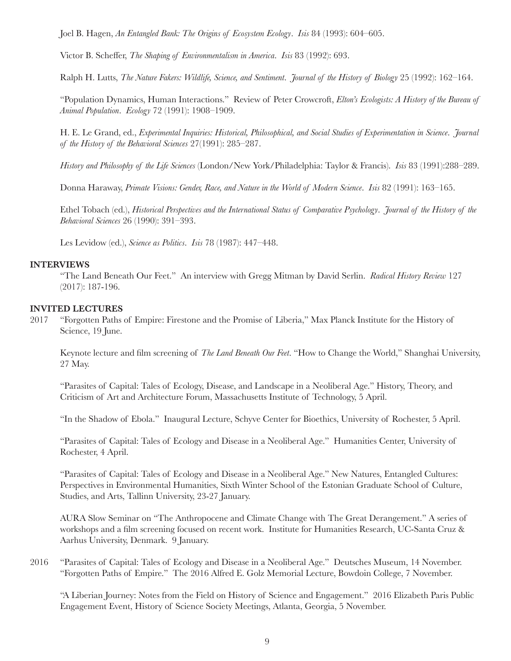Joel B. Hagen, *An Entangled Bank: The Origins of Ecosystem Ecology*. *Isis* 84 (1993): 604–605.

Victor B. Scheffer, *The Shaping of Environmentalism in America*. *Isis* 83 (1992): 693.

Ralph H. Lutts, *The Nature Fakers: Wildlife, Science, and Sentiment*. *Journal of the History of Biology* 25 (1992): 162–164.

"Population Dynamics, Human Interactions." Review of Peter Crowcroft, *Elton's Ecologists: A History of the Bureau of Animal Population*. *Ecology* 72 (1991): 1908–1909.

H. E. Le Grand, ed., *Experimental Inquiries: Historical, Philosophical, and Social Studies of Experimentation in Science*. *Journal of the History of the Behavioral Sciences* 27(1991): 285–287.

*History and Philosophy of the Life Sciences* (London/New York/Philadelphia: Taylor & Francis). *Isis* 83 (1991):288–289.

Donna Haraway, *Primate Visions: Gender, Race, and Nature in the World of Modern Science*. *Isis* 82 (1991): 163–165.

Ethel Tobach (ed.), *Historical Perspectives and the International Status of Comparative Psychology*. *Journal of the History of the Behavioral Sciences* 26 (1990): 391–393.

Les Levidow (ed.), *Science as Politics*. *Isis* 78 (1987): 447–448.

## **INTERVIEWS**

"The Land Beneath Our Feet." An interview with Gregg Mitman by David Serlin. *Radical History Review* 127 (2017): 187-196.

## **INVITED LECTURES**

2017 "Forgotten Paths of Empire: Firestone and the Promise of Liberia," Max Planck Institute for the History of Science, 19 June.

Keynote lecture and film screening of *The Land Beneath Our Feet*. "How to Change the World," Shanghai University, 27 May.

"Parasites of Capital: Tales of Ecology, Disease, and Landscape in a Neoliberal Age." History, Theory, and Criticism of Art and Architecture Forum, Massachusetts Institute of Technology, 5 April.

"In the Shadow of Ebola." Inaugural Lecture, Schyve Center for Bioethics, University of Rochester, 5 April.

"Parasites of Capital: Tales of Ecology and Disease in a Neoliberal Age." Humanities Center, University of Rochester, 4 April.

"Parasites of Capital: Tales of Ecology and Disease in a Neoliberal Age." New Natures, Entangled Cultures: Perspectives in Environmental Humanities, Sixth Winter School of the Estonian Graduate School of Culture, Studies, and Arts, Tallinn University, 23-27 January.

AURA Slow Seminar on "The Anthropocene and Climate Change with The Great Derangement." A series of workshops and a film screening focused on recent work. Institute for Humanities Research, UC-Santa Cruz & Aarhus University, Denmark. 9 January.

2016 "Parasites of Capital: Tales of Ecology and Disease in a Neoliberal Age." Deutsches Museum, 14 November. "Forgotten Paths of Empire." The 2016 Alfred E. Golz Memorial Lecture, Bowdoin College, 7 November.

"A Liberian Journey: Notes from the Field on History of Science and Engagement." 2016 Elizabeth Paris Public Engagement Event, History of Science Society Meetings, Atlanta, Georgia, 5 November.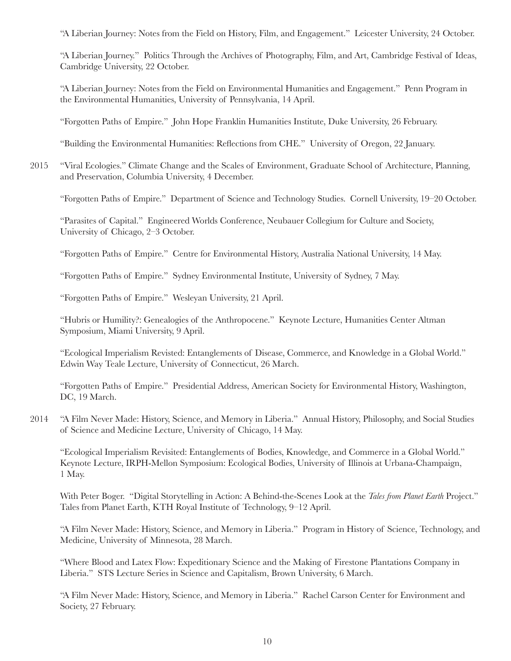"A Liberian Journey: Notes from the Field on History, Film, and Engagement." Leicester University, 24 October.

"A Liberian Journey." Politics Through the Archives of Photography, Film, and Art, Cambridge Festival of Ideas, Cambridge University, 22 October.

"A Liberian Journey: Notes from the Field on Environmental Humanities and Engagement." Penn Program in the Environmental Humanities, University of Pennsylvania, 14 April.

"Forgotten Paths of Empire." John Hope Franklin Humanities Institute, Duke University, 26 February.

"Building the Environmental Humanities: Reflections from CHE." University of Oregon, 22 January.

2015 "Viral Ecologies." Climate Change and the Scales of Environment, Graduate School of Architecture, Planning, and Preservation, Columbia University, 4 December.

"Forgotten Paths of Empire." Department of Science and Technology Studies. Cornell University, 19–20 October.

"Parasites of Capital." Engineered Worlds Conference, Neubauer Collegium for Culture and Society, University of Chicago, 2–3 October.

"Forgotten Paths of Empire." Centre for Environmental History, Australia National University, 14 May.

"Forgotten Paths of Empire." Sydney Environmental Institute, University of Sydney, 7 May.

"Forgotten Paths of Empire." Wesleyan University, 21 April.

"Hubris or Humility?: Genealogies of the Anthropocene." Keynote Lecture, Humanities Center Altman Symposium, Miami University, 9 April.

"Ecological Imperialism Revisted: Entanglements of Disease, Commerce, and Knowledge in a Global World." Edwin Way Teale Lecture, University of Connecticut, 26 March.

"Forgotten Paths of Empire." Presidential Address, American Society for Environmental History, Washington, DC, 19 March.

2014 "A Film Never Made: History, Science, and Memory in Liberia." Annual History, Philosophy, and Social Studies of Science and Medicine Lecture, University of Chicago, 14 May.

"Ecological Imperialism Revisited: Entanglements of Bodies, Knowledge, and Commerce in a Global World." Keynote Lecture, IRPH-Mellon Symposium: Ecological Bodies, University of Illinois at Urbana-Champaign, 1 May.

With Peter Boger. "Digital Storytelling in Action: A Behind-the-Scenes Look at the *Tales from Planet Earth* Project." Tales from Planet Earth, KTH Royal Institute of Technology, 9–12 April.

"A Film Never Made: History, Science, and Memory in Liberia." Program in History of Science, Technology, and Medicine, University of Minnesota, 28 March.

"Where Blood and Latex Flow: Expeditionary Science and the Making of Firestone Plantations Company in Liberia." STS Lecture Series in Science and Capitalism, Brown University, 6 March.

"A Film Never Made: History, Science, and Memory in Liberia." Rachel Carson Center for Environment and Society, 27 February.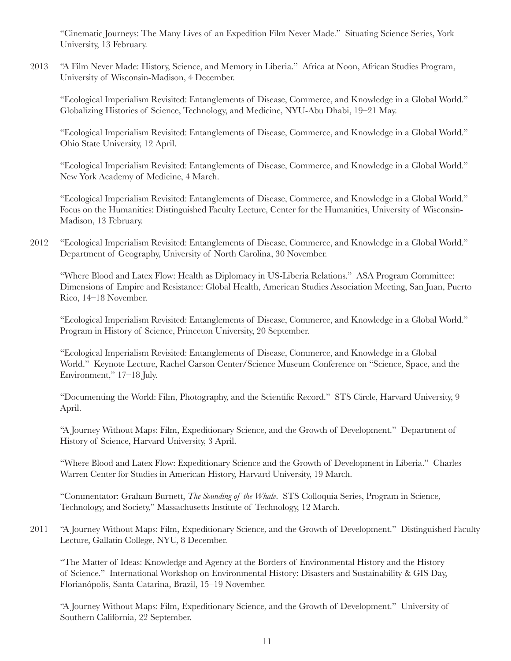"Cinematic Journeys: The Many Lives of an Expedition Film Never Made." Situating Science Series, York University, 13 February.

2013 "A Film Never Made: History, Science, and Memory in Liberia." Africa at Noon, African Studies Program, University of Wisconsin-Madison, 4 December.

"Ecological Imperialism Revisited: Entanglements of Disease, Commerce, and Knowledge in a Global World." Globalizing Histories of Science, Technology, and Medicine, NYU-Abu Dhabi, 19–21 May.

"Ecological Imperialism Revisited: Entanglements of Disease, Commerce, and Knowledge in a Global World." Ohio State University, 12 April.

"Ecological Imperialism Revisited: Entanglements of Disease, Commerce, and Knowledge in a Global World." New York Academy of Medicine, 4 March.

"Ecological Imperialism Revisited: Entanglements of Disease, Commerce, and Knowledge in a Global World." Focus on the Humanities: Distinguished Faculty Lecture, Center for the Humanities, University of Wisconsin-Madison, 13 February.

2012 "Ecological Imperialism Revisited: Entanglements of Disease, Commerce, and Knowledge in a Global World." Department of Geography, University of North Carolina, 30 November.

"Where Blood and Latex Flow: Health as Diplomacy in US-Liberia Relations." ASA Program Committee: Dimensions of Empire and Resistance: Global Health, American Studies Association Meeting, San Juan, Puerto Rico, 14–18 November.

"Ecological Imperialism Revisited: Entanglements of Disease, Commerce, and Knowledge in a Global World." Program in History of Science, Princeton University, 20 September.

"Ecological Imperialism Revisited: Entanglements of Disease, Commerce, and Knowledge in a Global World." Keynote Lecture, Rachel Carson Center/Science Museum Conference on "Science, Space, and the Environment," 17–18 July.

"Documenting the World: Film, Photography, and the Scientific Record." STS Circle, Harvard University, 9 April.

"A Journey Without Maps: Film, Expeditionary Science, and the Growth of Development." Department of History of Science, Harvard University, 3 April.

"Where Blood and Latex Flow: Expeditionary Science and the Growth of Development in Liberia." Charles Warren Center for Studies in American History, Harvard University, 19 March.

"Commentator: Graham Burnett, *The Sounding of the Whale*. STS Colloquia Series, Program in Science, Technology, and Society," Massachusetts Institute of Technology, 12 March.

2011 "A Journey Without Maps: Film, Expeditionary Science, and the Growth of Development." Distinguished Faculty Lecture, Gallatin College, NYU, 8 December.

"The Matter of Ideas: Knowledge and Agency at the Borders of Environmental History and the History of Science." International Workshop on Environmental History: Disasters and Sustainability & GIS Day, Florianópolis, Santa Catarina, Brazil, 15–19 November.

"A Journey Without Maps: Film, Expeditionary Science, and the Growth of Development." University of Southern California, 22 September.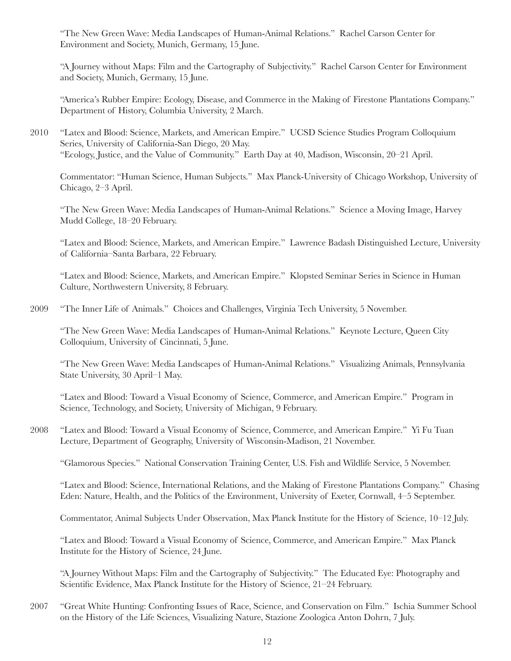"The New Green Wave: Media Landscapes of Human-Animal Relations." Rachel Carson Center for Environment and Society, Munich, Germany, 15 June.

"A Journey without Maps: Film and the Cartography of Subjectivity." Rachel Carson Center for Environment and Society, Munich, Germany, 15 June.

"America's Rubber Empire: Ecology, Disease, and Commerce in the Making of Firestone Plantations Company." Department of History, Columbia University, 2 March.

2010 "Latex and Blood: Science, Markets, and American Empire." UCSD Science Studies Program Colloquium Series, University of California-San Diego, 20 May. "Ecology, Justice, and the Value of Community." Earth Day at 40, Madison, Wisconsin, 20–21 April.

Commentator: "Human Science, Human Subjects." Max Planck-University of Chicago Workshop, University of Chicago, 2–3 April.

"The New Green Wave: Media Landscapes of Human-Animal Relations." Science a Moving Image, Harvey Mudd College, 18–20 February.

"Latex and Blood: Science, Markets, and American Empire." Lawrence Badash Distinguished Lecture, University of California–Santa Barbara, 22 February.

"Latex and Blood: Science, Markets, and American Empire." Klopsted Seminar Series in Science in Human Culture, Northwestern University, 8 February.

2009 "The Inner Life of Animals." Choices and Challenges, Virginia Tech University, 5 November.

"The New Green Wave: Media Landscapes of Human-Animal Relations." Keynote Lecture, Queen City Colloquium, University of Cincinnati, 5 June.

"The New Green Wave: Media Landscapes of Human-Animal Relations." Visualizing Animals, Pennsylvania State University, 30 April–1 May.

"Latex and Blood: Toward a Visual Economy of Science, Commerce, and American Empire." Program in Science, Technology, and Society, University of Michigan, 9 February.

2008 "Latex and Blood: Toward a Visual Economy of Science, Commerce, and American Empire." Yi Fu Tuan Lecture, Department of Geography, University of Wisconsin-Madison, 21 November.

"Glamorous Species." National Conservation Training Center, U.S. Fish and Wildlife Service, 5 November.

"Latex and Blood: Science, International Relations, and the Making of Firestone Plantations Company." Chasing Eden: Nature, Health, and the Politics of the Environment, University of Exeter, Cornwall, 4–5 September.

Commentator, Animal Subjects Under Observation, Max Planck Institute for the History of Science, 10–12 July.

"Latex and Blood: Toward a Visual Economy of Science, Commerce, and American Empire." Max Planck Institute for the History of Science, 24 June.

"A Journey Without Maps: Film and the Cartography of Subjectivity." The Educated Eye: Photography and Scientific Evidence, Max Planck Institute for the History of Science, 21–24 February.

2007 "Great White Hunting: Confronting Issues of Race, Science, and Conservation on Film." Ischia Summer School on the History of the Life Sciences, Visualizing Nature, Stazione Zoologica Anton Dohrn, 7 July.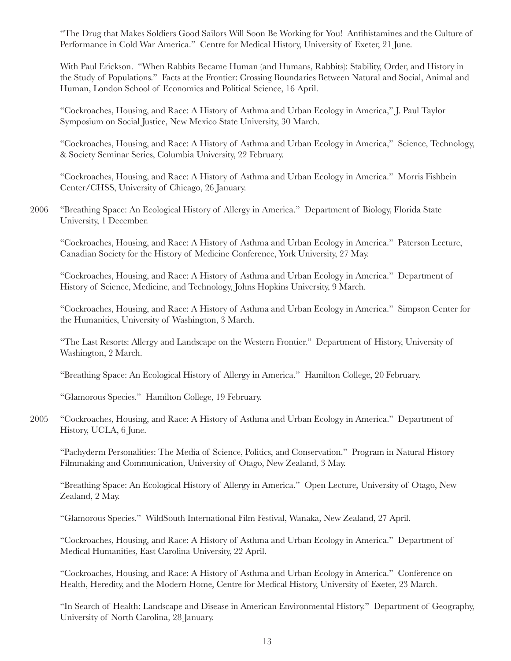"The Drug that Makes Soldiers Good Sailors Will Soon Be Working for You! Antihistamines and the Culture of Performance in Cold War America." Centre for Medical History, University of Exeter, 21 June.

With Paul Erickson. "When Rabbits Became Human (and Humans, Rabbits): Stability, Order, and History in the Study of Populations." Facts at the Frontier: Crossing Boundaries Between Natural and Social, Animal and Human, London School of Economics and Political Science, 16 April.

"Cockroaches, Housing, and Race: A History of Asthma and Urban Ecology in America," J. Paul Taylor Symposium on Social Justice, New Mexico State University, 30 March.

"Cockroaches, Housing, and Race: A History of Asthma and Urban Ecology in America," Science, Technology, & Society Seminar Series, Columbia University, 22 February.

"Cockroaches, Housing, and Race: A History of Asthma and Urban Ecology in America." Morris Fishbein Center/CHSS, University of Chicago, 26 January.

2006 "Breathing Space: An Ecological History of Allergy in America." Department of Biology, Florida State University, 1 December.

"Cockroaches, Housing, and Race: A History of Asthma and Urban Ecology in America." Paterson Lecture, Canadian Society for the History of Medicine Conference, York University, 27 May.

"Cockroaches, Housing, and Race: A History of Asthma and Urban Ecology in America." Department of History of Science, Medicine, and Technology, Johns Hopkins University, 9 March.

"Cockroaches, Housing, and Race: A History of Asthma and Urban Ecology in America." Simpson Center for the Humanities, University of Washington, 3 March.

"The Last Resorts: Allergy and Landscape on the Western Frontier." Department of History, University of Washington, 2 March.

"Breathing Space: An Ecological History of Allergy in America." Hamilton College, 20 February.

"Glamorous Species." Hamilton College, 19 February.

2005 "Cockroaches, Housing, and Race: A History of Asthma and Urban Ecology in America." Department of History, UCLA, 6 June.

"Pachyderm Personalities: The Media of Science, Politics, and Conservation." Program in Natural History Filmmaking and Communication, University of Otago, New Zealand, 3 May.

"Breathing Space: An Ecological History of Allergy in America." Open Lecture, University of Otago, New Zealand, 2 May.

"Glamorous Species." WildSouth International Film Festival, Wanaka, New Zealand, 27 April.

"Cockroaches, Housing, and Race: A History of Asthma and Urban Ecology in America." Department of Medical Humanities, East Carolina University, 22 April.

"Cockroaches, Housing, and Race: A History of Asthma and Urban Ecology in America." Conference on Health, Heredity, and the Modern Home, Centre for Medical History, University of Exeter, 23 March.

"In Search of Health: Landscape and Disease in American Environmental History." Department of Geography, University of North Carolina, 28 January.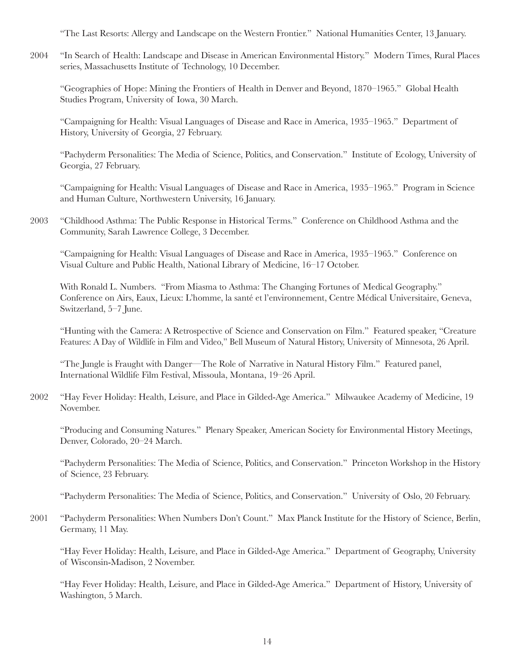"The Last Resorts: Allergy and Landscape on the Western Frontier." National Humanities Center, 13 January.

2004 "In Search of Health: Landscape and Disease in American Environmental History." Modern Times, Rural Places series, Massachusetts Institute of Technology, 10 December.

"Geographies of Hope: Mining the Frontiers of Health in Denver and Beyond, 1870–1965." Global Health Studies Program, University of Iowa, 30 March.

"Campaigning for Health: Visual Languages of Disease and Race in America, 1935–1965." Department of History, University of Georgia, 27 February.

"Pachyderm Personalities: The Media of Science, Politics, and Conservation." Institute of Ecology, University of Georgia, 27 February.

"Campaigning for Health: Visual Languages of Disease and Race in America, 1935–1965." Program in Science and Human Culture, Northwestern University, 16 January.

2003 "Childhood Asthma: The Public Response in Historical Terms." Conference on Childhood Asthma and the Community, Sarah Lawrence College, 3 December.

"Campaigning for Health: Visual Languages of Disease and Race in America, 1935–1965." Conference on Visual Culture and Public Health, National Library of Medicine, 16–17 October.

With Ronald L. Numbers. "From Miasma to Asthma: The Changing Fortunes of Medical Geography." Conference on Airs, Eaux, Lieux: L'homme, la santé et l'environnement, Centre Médical Universitaire, Geneva, Switzerland, 5–7 June.

"Hunting with the Camera: A Retrospective of Science and Conservation on Film." Featured speaker, "Creature Features: A Day of Wildlife in Film and Video," Bell Museum of Natural History, University of Minnesota, 26 April.

"The Jungle is Fraught with Danger—The Role of Narrative in Natural History Film." Featured panel, International Wildlife Film Festival, Missoula, Montana, 19–26 April.

2002 "Hay Fever Holiday: Health, Leisure, and Place in Gilded-Age America." Milwaukee Academy of Medicine, 19 November.

"Producing and Consuming Natures." Plenary Speaker, American Society for Environmental History Meetings, Denver, Colorado, 20–24 March.

"Pachyderm Personalities: The Media of Science, Politics, and Conservation." Princeton Workshop in the History of Science, 23 February.

"Pachyderm Personalities: The Media of Science, Politics, and Conservation." University of Oslo, 20 February.

2001 "Pachyderm Personalities: When Numbers Don't Count." Max Planck Institute for the History of Science, Berlin, Germany, 11 May.

"Hay Fever Holiday: Health, Leisure, and Place in Gilded-Age America." Department of Geography, University of Wisconsin-Madison, 2 November.

"Hay Fever Holiday: Health, Leisure, and Place in Gilded-Age America." Department of History, University of Washington, 5 March.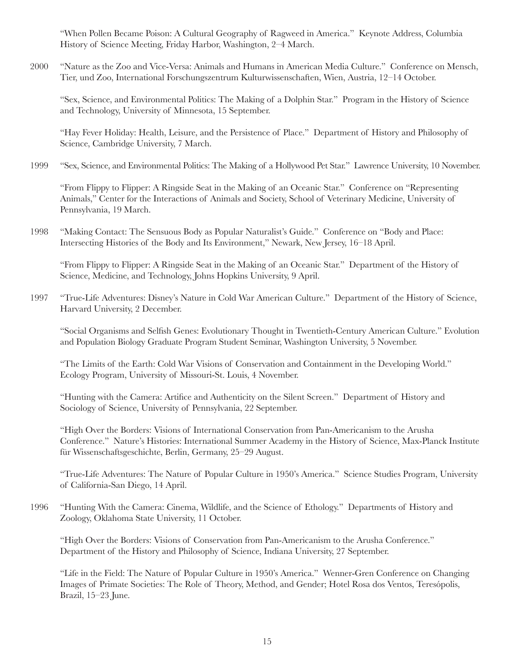"When Pollen Became Poison: A Cultural Geography of Ragweed in America." Keynote Address, Columbia History of Science Meeting, Friday Harbor, Washington, 2–4 March.

2000 "Nature as the Zoo and Vice-Versa: Animals and Humans in American Media Culture." Conference on Mensch, Tier, und Zoo, International Forschungszentrum Kulturwissenschaften, Wien, Austria, 12–14 October.

"Sex, Science, and Environmental Politics: The Making of a Dolphin Star." Program in the History of Science and Technology, University of Minnesota, 15 September.

"Hay Fever Holiday: Health, Leisure, and the Persistence of Place." Department of History and Philosophy of Science, Cambridge University, 7 March.

1999 "Sex, Science, and Environmental Politics: The Making of a Hollywood Pet Star." Lawrence University, 10 November.

"From Flippy to Flipper: A Ringside Seat in the Making of an Oceanic Star." Conference on "Representing Animals," Center for the Interactions of Animals and Society, School of Veterinary Medicine, University of Pennsylvania, 19 March.

1998 "Making Contact: The Sensuous Body as Popular Naturalist's Guide." Conference on "Body and Place: Intersecting Histories of the Body and Its Environment," Newark, New Jersey, 16–18 April.

"From Flippy to Flipper: A Ringside Seat in the Making of an Oceanic Star." Department of the History of Science, Medicine, and Technology, Johns Hopkins University, 9 April.

1997 "True-Life Adventures: Disney's Nature in Cold War American Culture." Department of the History of Science, Harvard University, 2 December.

"Social Organisms and Selfish Genes: Evolutionary Thought in Twentieth-Century American Culture." Evolution and Population Biology Graduate Program Student Seminar, Washington University, 5 November.

"The Limits of the Earth: Cold War Visions of Conservation and Containment in the Developing World." Ecology Program, University of Missouri-St. Louis, 4 November.

"Hunting with the Camera: Artifice and Authenticity on the Silent Screen." Department of History and Sociology of Science, University of Pennsylvania, 22 September.

"High Over the Borders: Visions of International Conservation from Pan-Americanism to the Arusha Conference." Nature's Histories: International Summer Academy in the History of Science, Max-Planck Institute für Wissenschaftsgeschichte, Berlin, Germany, 25–29 August.

"True-Life Adventures: The Nature of Popular Culture in 1950's America." Science Studies Program, University of California-San Diego, 14 April.

1996 "Hunting With the Camera: Cinema, Wildlife, and the Science of Ethology." Departments of History and Zoology, Oklahoma State University, 11 October.

"High Over the Borders: Visions of Conservation from Pan-Americanism to the Arusha Conference." Department of the History and Philosophy of Science, Indiana University, 27 September.

"Life in the Field: The Nature of Popular Culture in 1950's America." Wenner-Gren Conference on Changing Images of Primate Societies: The Role of Theory, Method, and Gender; Hotel Rosa dos Ventos, Teresópolis, Brazil, 15–23 June.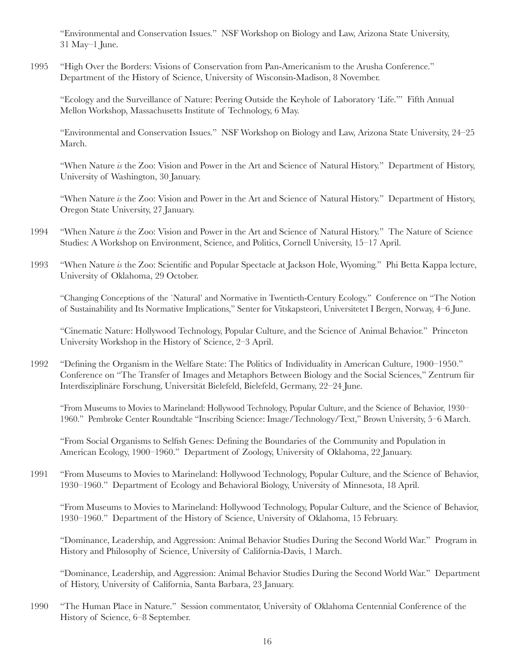"Environmental and Conservation Issues." NSF Workshop on Biology and Law, Arizona State University, 31 May–1 June.

1995 "High Over the Borders: Visions of Conservation from Pan-Americanism to the Arusha Conference." Department of the History of Science, University of Wisconsin-Madison, 8 November.

"Ecology and the Surveillance of Nature: Peering Outside the Keyhole of Laboratory 'Life.'" Fifth Annual Mellon Workshop, Massachusetts Institute of Technology, 6 May.

"Environmental and Conservation Issues." NSF Workshop on Biology and Law, Arizona State University, 24–25 March.

"When Nature *is* the Zoo: Vision and Power in the Art and Science of Natural History." Department of History, University of Washington, 30 January.

"When Nature *is* the Zoo: Vision and Power in the Art and Science of Natural History." Department of History, Oregon State University, 27 January.

- 1994 "When Nature *is* the Zoo: Vision and Power in the Art and Science of Natural History." The Nature of Science Studies: A Workshop on Environment, Science, and Politics, Cornell University, 15–17 April.
- 1993 "When Nature *is* the Zoo: Scientific and Popular Spectacle at Jackson Hole, Wyoming." Phi Betta Kappa lecture, University of Oklahoma, 29 October.

"Changing Conceptions of the `Natural' and Normative in Twentieth-Century Ecology." Conference on "The Notion of Sustainability and Its Normative Implications," Senter for Vitskapsteori, Universitetet I Bergen, Norway, 4–6 June.

"Cinematic Nature: Hollywood Technology, Popular Culture, and the Science of Animal Behavior." Princeton University Workshop in the History of Science, 2–3 April.

1992 "Defining the Organism in the Welfare State: The Politics of Individuality in American Culture, 1900–1950." Conference on "The Transfer of Images and Metaphors Between Biology and the Social Sciences," Zentrum für Interdisziplinäre Forschung, Universität Bielefeld, Bielefeld, Germany, 22–24 June.

"From Museums to Movies to Marineland: Hollywood Technology, Popular Culture, and the Science of Behavior, 1930– 1960." Pembroke Center Roundtable "Inscribing Science: Image/Technology/Text," Brown University, 5–6 March.

"From Social Organisms to Selfish Genes: Defining the Boundaries of the Community and Population in American Ecology, 1900–1960." Department of Zoology, University of Oklahoma, 22 January.

1991 "From Museums to Movies to Marineland: Hollywood Technology, Popular Culture, and the Science of Behavior, 1930–1960." Department of Ecology and Behavioral Biology, University of Minnesota, 18 April.

"From Museums to Movies to Marineland: Hollywood Technology, Popular Culture, and the Science of Behavior, 1930–1960." Department of the History of Science, University of Oklahoma, 15 February.

"Dominance, Leadership, and Aggression: Animal Behavior Studies During the Second World War." Program in History and Philosophy of Science, University of California-Davis, 1 March.

"Dominance, Leadership, and Aggression: Animal Behavior Studies During the Second World War." Department of History, University of California, Santa Barbara, 23 January.

1990 "The Human Place in Nature." Session commentator, University of Oklahoma Centennial Conference of the History of Science, 6–8 September.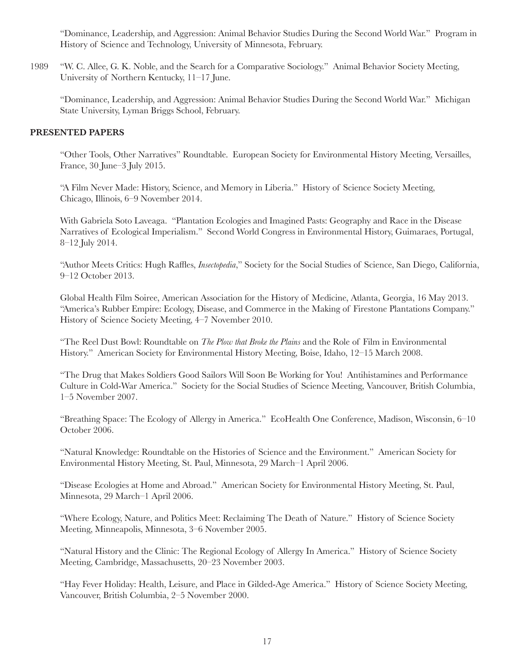"Dominance, Leadership, and Aggression: Animal Behavior Studies During the Second World War." Program in History of Science and Technology, University of Minnesota, February.

1989 "W. C. Allee, G. K. Noble, and the Search for a Comparative Sociology." Animal Behavior Society Meeting, University of Northern Kentucky, 11–17 June.

"Dominance, Leadership, and Aggression: Animal Behavior Studies During the Second World War." Michigan State University, Lyman Briggs School, February.

## **PRESENTED PAPERS**

"Other Tools, Other Narratives" Roundtable. European Society for Environmental History Meeting, Versailles, France, 30 June–3 July 2015.

"A Film Never Made: History, Science, and Memory in Liberia." History of Science Society Meeting, Chicago, Illinois, 6–9 November 2014.

With Gabriela Soto Laveaga. "Plantation Ecologies and Imagined Pasts: Geography and Race in the Disease Narratives of Ecological Imperialism." Second World Congress in Environmental History, Guimaraes, Portugal, 8–12 July 2014.

"Author Meets Critics: Hugh Raffles, *Insectopedia*," Society for the Social Studies of Science, San Diego, California, 9–12 October 2013.

Global Health Film Soiree, American Association for the History of Medicine, Atlanta, Georgia, 16 May 2013. "America's Rubber Empire: Ecology, Disease, and Commerce in the Making of Firestone Plantations Company." History of Science Society Meeting, 4–7 November 2010.

"The Reel Dust Bowl: Roundtable on *The Plow that Broke the Plains* and the Role of Film in Environmental History." American Society for Environmental History Meeting, Boise, Idaho, 12–15 March 2008.

"The Drug that Makes Soldiers Good Sailors Will Soon Be Working for You! Antihistamines and Performance Culture in Cold-War America." Society for the Social Studies of Science Meeting, Vancouver, British Columbia, 1–5 November 2007.

"Breathing Space: The Ecology of Allergy in America." EcoHealth One Conference, Madison, Wisconsin, 6–10 October 2006.

"Natural Knowledge: Roundtable on the Histories of Science and the Environment." American Society for Environmental History Meeting, St. Paul, Minnesota, 29 March–1 April 2006.

"Disease Ecologies at Home and Abroad." American Society for Environmental History Meeting, St. Paul, Minnesota, 29 March–1 April 2006.

"Where Ecology, Nature, and Politics Meet: Reclaiming The Death of Nature." History of Science Society Meeting, Minneapolis, Minnesota, 3–6 November 2005.

"Natural History and the Clinic: The Regional Ecology of Allergy In America." History of Science Society Meeting, Cambridge, Massachusetts, 20–23 November 2003.

"Hay Fever Holiday: Health, Leisure, and Place in Gilded-Age America." History of Science Society Meeting, Vancouver, British Columbia, 2–5 November 2000.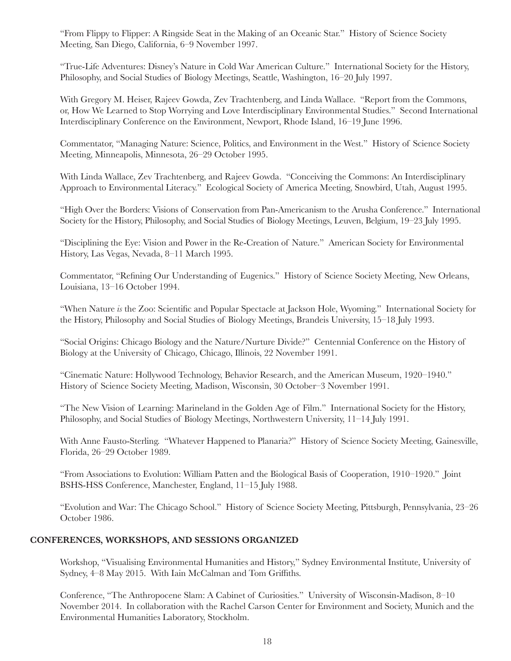"From Flippy to Flipper: A Ringside Seat in the Making of an Oceanic Star." History of Science Society Meeting, San Diego, California, 6–9 November 1997.

"True-Life Adventures: Disney's Nature in Cold War American Culture." International Society for the History, Philosophy, and Social Studies of Biology Meetings, Seattle, Washington, 16–20 July 1997.

With Gregory M. Heiser, Rajeev Gowda, Zev Trachtenberg, and Linda Wallace. "Report from the Commons, or, How We Learned to Stop Worrying and Love Interdisciplinary Environmental Studies." Second International Interdisciplinary Conference on the Environment, Newport, Rhode Island, 16–19 June 1996.

Commentator, "Managing Nature: Science, Politics, and Environment in the West." History of Science Society Meeting, Minneapolis, Minnesota, 26–29 October 1995.

With Linda Wallace, Zev Trachtenberg, and Rajeev Gowda. "Conceiving the Commons: An Interdisciplinary Approach to Environmental Literacy." Ecological Society of America Meeting, Snowbird, Utah, August 1995.

"High Over the Borders: Visions of Conservation from Pan-Americanism to the Arusha Conference." International Society for the History, Philosophy, and Social Studies of Biology Meetings, Leuven, Belgium, 19–23 July 1995.

"Disciplining the Eye: Vision and Power in the Re-Creation of Nature." American Society for Environmental History, Las Vegas, Nevada, 8–11 March 1995.

Commentator, "Refining Our Understanding of Eugenics." History of Science Society Meeting, New Orleans, Louisiana, 13–16 October 1994.

"When Nature *is* the Zoo: Scientific and Popular Spectacle at Jackson Hole, Wyoming." International Society for the History, Philosophy and Social Studies of Biology Meetings, Brandeis University, 15–18 July 1993.

"Social Origins: Chicago Biology and the Nature/Nurture Divide?" Centennial Conference on the History of Biology at the University of Chicago, Chicago, Illinois, 22 November 1991.

"Cinematic Nature: Hollywood Technology, Behavior Research, and the American Museum, 1920–1940." History of Science Society Meeting, Madison, Wisconsin, 30 October–3 November 1991.

"The New Vision of Learning: Marineland in the Golden Age of Film." International Society for the History, Philosophy, and Social Studies of Biology Meetings, Northwestern University, 11–14 July 1991.

With Anne Fausto-Sterling. "Whatever Happened to Planaria?" History of Science Society Meeting, Gainesville, Florida, 26–29 October 1989.

"From Associations to Evolution: William Patten and the Biological Basis of Cooperation, 1910–1920." Joint BSHS-HSS Conference, Manchester, England, 11–15 July 1988.

"Evolution and War: The Chicago School." History of Science Society Meeting, Pittsburgh, Pennsylvania, 23–26 October 1986.

# **CONFERENCES, WORKSHOPS, AND SESSIONS ORGANIZED**

Workshop, "Visualising Environmental Humanities and History," Sydney Environmental Institute, University of Sydney, 4–8 May 2015. With Iain McCalman and Tom Griffiths.

Conference, "The Anthropocene Slam: A Cabinet of Curiosities." University of Wisconsin-Madison, 8–10 November 2014. In collaboration with the Rachel Carson Center for Environment and Society, Munich and the Environmental Humanities Laboratory, Stockholm.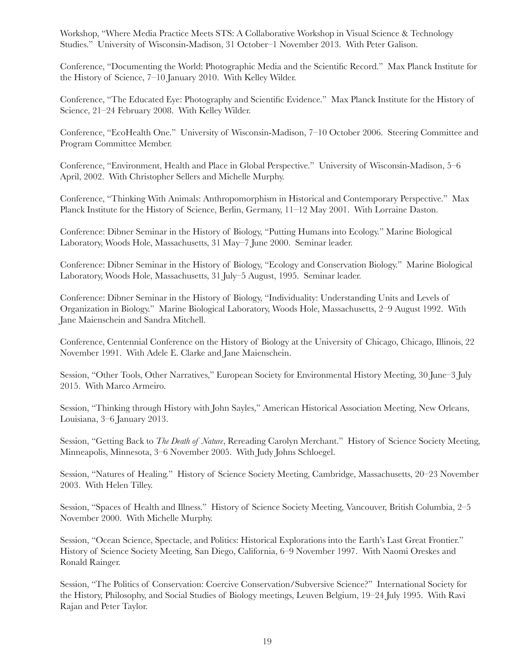Workshop, "Where Media Practice Meets STS: A Collaborative Workshop in Visual Science & Technology Studies." University of Wisconsin-Madison, 31 October–1 November 2013. With Peter Galison.

Conference, "Documenting the World: Photographic Media and the Scientific Record." Max Planck Institute for the History of Science, 7–10 January 2010. With Kelley Wilder.

Conference, "The Educated Eye: Photography and Scientific Evidence." Max Planck Institute for the History of Science, 21–24 February 2008. With Kelley Wilder.

Conference, "EcoHealth One." University of Wisconsin-Madison, 7–10 October 2006. Steering Committee and Program Committee Member.

Conference, "Environment, Health and Place in Global Perspective." University of Wisconsin-Madison, 5–6 April, 2002. With Christopher Sellers and Michelle Murphy.

Conference, "Thinking With Animals: Anthropomorphism in Historical and Contemporary Perspective." Max Planck Institute for the History of Science, Berlin, Germany, 11–12 May 2001. With Lorraine Daston.

Conference: Dibner Seminar in the History of Biology, "Putting Humans into Ecology." Marine Biological Laboratory, Woods Hole, Massachusetts, 31 May–7 June 2000. Seminar leader.

Conference: Dibner Seminar in the History of Biology, "Ecology and Conservation Biology." Marine Biological Laboratory, Woods Hole, Massachusetts, 31 July–5 August, 1995. Seminar leader.

Conference: Dibner Seminar in the History of Biology, "Individuality: Understanding Units and Levels of Organization in Biology." Marine Biological Laboratory, Woods Hole, Massachusetts, 2–9 August 1992. With Jane Maienschein and Sandra Mitchell.

Conference, Centennial Conference on the History of Biology at the University of Chicago, Chicago, Illinois, 22 November 1991. With Adele E. Clarke and Jane Maienschein.

Session, "Other Tools, Other Narratives," European Society for Environmental History Meeting, 30 June–3 July 2015. With Marco Armeiro.

Session, "Thinking through History with John Sayles," American Historical Association Meeting, New Orleans, Louisiana, 3–6 January 2013.

Session, "Getting Back to *The Death of Nature*, Rereading Carolyn Merchant." History of Science Society Meeting, Minneapolis, Minnesota, 3–6 November 2005. With Judy Johns Schloegel.

Session, "Natures of Healing." History of Science Society Meeting, Cambridge, Massachusetts, 20–23 November 2003. With Helen Tilley.

Session, "Spaces of Health and Illness." History of Science Society Meeting, Vancouver, British Columbia, 2–5 November 2000. With Michelle Murphy.

Session, "Ocean Science, Spectacle, and Politics: Historical Explorations into the Earth's Last Great Frontier." History of Science Society Meeting, San Diego, California, 6–9 November 1997. With Naomi Oreskes and Ronald Rainger.

Session, "The Politics of Conservation: Coercive Conservation/Subversive Science?" International Society for the History, Philosophy, and Social Studies of Biology meetings, Leuven Belgium, 19–24 July 1995. With Ravi Rajan and Peter Taylor.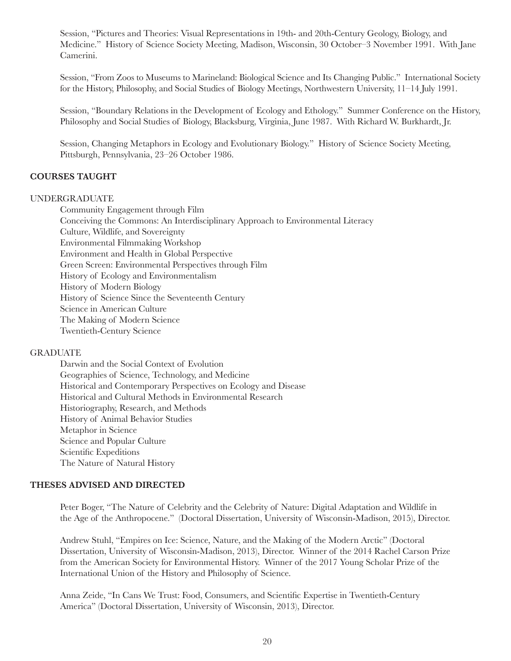Session, "Pictures and Theories: Visual Representations in 19th- and 20th-Century Geology, Biology, and Medicine." History of Science Society Meeting, Madison, Wisconsin, 30 October–3 November 1991. With Jane Camerini.

Session, "From Zoos to Museums to Marineland: Biological Science and Its Changing Public." International Society for the History, Philosophy, and Social Studies of Biology Meetings, Northwestern University, 11–14 July 1991.

Session, "Boundary Relations in the Development of Ecology and Ethology." Summer Conference on the History, Philosophy and Social Studies of Biology, Blacksburg, Virginia, June 1987. With Richard W. Burkhardt, Jr.

Session, Changing Metaphors in Ecology and Evolutionary Biology." History of Science Society Meeting, Pittsburgh, Pennsylvania, 23–26 October 1986.

# **COURSES TAUGHT**

## UNDERGRADUATE

Community Engagement through Film Conceiving the Commons: An Interdisciplinary Approach to Environmental Literacy Culture, Wildlife, and Sovereignty Environmental Filmmaking Workshop Environment and Health in Global Perspective Green Screen: Environmental Perspectives through Film History of Ecology and Environmentalism History of Modern Biology History of Science Since the Seventeenth Century Science in American Culture The Making of Modern Science Twentieth-Century Science

# GRADUATE

Darwin and the Social Context of Evolution Geographies of Science, Technology, and Medicine Historical and Contemporary Perspectives on Ecology and Disease Historical and Cultural Methods in Environmental Research Historiography, Research, and Methods History of Animal Behavior Studies Metaphor in Science Science and Popular Culture Scientific Expeditions The Nature of Natural History

# **THESES ADVISED AND DIRECTED**

Peter Boger, "The Nature of Celebrity and the Celebrity of Nature: Digital Adaptation and Wildlife in the Age of the Anthropocene." (Doctoral Dissertation, University of Wisconsin-Madison, 2015), Director.

Andrew Stuhl, "Empires on Ice: Science, Nature, and the Making of the Modern Arctic" (Doctoral Dissertation, University of Wisconsin-Madison, 2013), Director. Winner of the 2014 Rachel Carson Prize from the American Society for Environmental History. Winner of the 2017 Young Scholar Prize of the International Union of the History and Philosophy of Science.

Anna Zeide, "In Cans We Trust: Food, Consumers, and Scientific Expertise in Twentieth-Century America" (Doctoral Dissertation, University of Wisconsin, 2013), Director.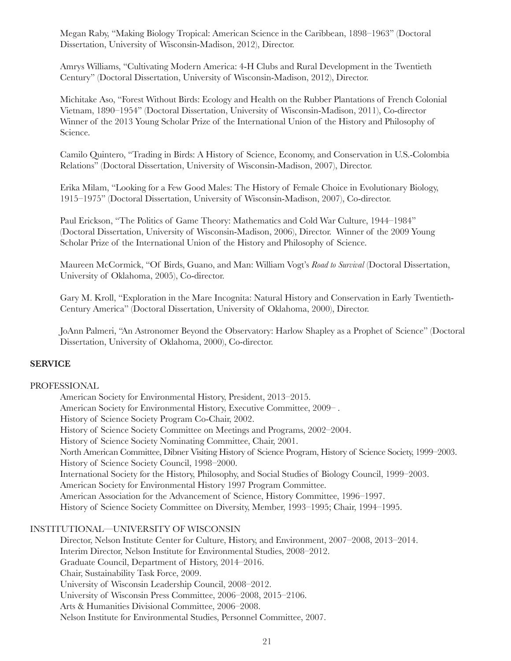Megan Raby, "Making Biology Tropical: American Science in the Caribbean, 1898–1963" (Doctoral Dissertation, University of Wisconsin-Madison, 2012), Director.

Amrys Williams, "Cultivating Modern America: 4-H Clubs and Rural Development in the Twentieth Century" (Doctoral Dissertation, University of Wisconsin-Madison, 2012), Director.

Michitake Aso, "Forest Without Birds: Ecology and Health on the Rubber Plantations of French Colonial Vietnam, 1890–1954" (Doctoral Dissertation, University of Wisconsin-Madison, 2011), Co-director Winner of the 2013 Young Scholar Prize of the International Union of the History and Philosophy of Science.

Camilo Quintero, "Trading in Birds: A History of Science, Economy, and Conservation in U.S.-Colombia Relations" (Doctoral Dissertation, University of Wisconsin-Madison, 2007), Director.

Erika Milam, "Looking for a Few Good Males: The History of Female Choice in Evolutionary Biology, 1915–1975" (Doctoral Dissertation, University of Wisconsin-Madison, 2007), Co-director.

Paul Erickson, "The Politics of Game Theory: Mathematics and Cold War Culture, 1944–1984" (Doctoral Dissertation, University of Wisconsin-Madison, 2006), Director. Winner of the 2009 Young Scholar Prize of the International Union of the History and Philosophy of Science.

Maureen McCormick, "Of Birds, Guano, and Man: William Vogt's *Road to Survival* (Doctoral Dissertation, University of Oklahoma, 2005), Co-director.

Gary M. Kroll, "Exploration in the Mare Incognita: Natural History and Conservation in Early Twentieth-Century America" (Doctoral Dissertation, University of Oklahoma, 2000), Director.

JoAnn Palmeri, "An Astronomer Beyond the Observatory: Harlow Shapley as a Prophet of Science" (Doctoral Dissertation, University of Oklahoma, 2000), Co-director.

## **SERVICE**

## PROFESSIONAL

American Society for Environmental History, President, 2013–2015. American Society for Environmental History, Executive Committee, 2009– . History of Science Society Program Co-Chair, 2002. History of Science Society Committee on Meetings and Programs, 2002–2004. History of Science Society Nominating Committee, Chair, 2001. North American Committee, Dibner Visiting History of Science Program, History of Science Society, 1999–2003. History of Science Society Council, 1998–2000. International Society for the History, Philosophy, and Social Studies of Biology Council, 1999–2003. American Society for Environmental History 1997 Program Committee. American Association for the Advancement of Science, History Committee, 1996–1997. History of Science Society Committee on Diversity, Member, 1993–1995; Chair, 1994–1995.

## INSTITUTIONAL—UNIVERSITY OF WISCONSIN

Director, Nelson Institute Center for Culture, History, and Environment, 2007–2008, 2013–2014. Interim Director, Nelson Institute for Environmental Studies, 2008–2012. Graduate Council, Department of History, 2014–2016. Chair, Sustainability Task Force, 2009. University of Wisconsin Leadership Council, 2008–2012. University of Wisconsin Press Committee, 2006–2008, 2015–2106. Arts & Humanities Divisional Committee, 2006–2008. Nelson Institute for Environmental Studies, Personnel Committee, 2007.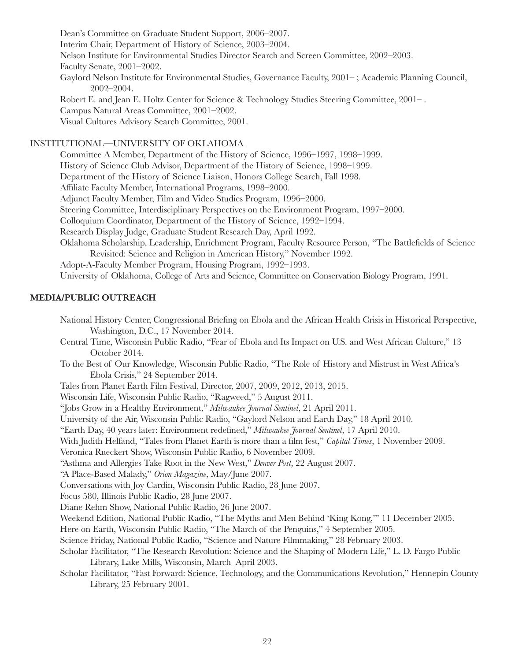Dean's Committee on Graduate Student Support, 2006–2007. Interim Chair, Department of History of Science, 2003–2004. Nelson Institute for Environmental Studies Director Search and Screen Committee, 2002–2003. Faculty Senate, 2001–2002. Gaylord Nelson Institute for Environmental Studies, Governance Faculty, 2001– ; Academic Planning Council, 2002–2004. Robert E. and Jean E. Holtz Center for Science & Technology Studies Steering Committee, 2001– . Campus Natural Areas Committee, 2001–2002. Visual Cultures Advisory Search Committee, 2001. INSTITUTIONAL—UNIVERSITY OF OKLAHOMA Committee A Member, Department of the History of Science, 1996–1997, 1998–1999. History of Science Club Advisor, Department of the History of Science, 1998–1999. Department of the History of Science Liaison, Honors College Search, Fall 1998. Affiliate Faculty Member, International Programs, 1998–2000. Adjunct Faculty Member, Film and Video Studies Program, 1996–2000. Steering Committee, Interdisciplinary Perspectives on the Environment Program, 1997–2000. Colloquium Coordinator, Department of the History of Science, 1992–1994. Research Display Judge, Graduate Student Research Day, April 1992. Oklahoma Scholarship, Leadership, Enrichment Program, Faculty Resource Person, "The Battlefields of Science Revisited: Science and Religion in American History," November 1992. Adopt-A-Faculty Member Program, Housing Program, 1992–1993.

University of Oklahoma, College of Arts and Science, Committee on Conservation Biology Program, 1991.

# **MEDIA/PUBLIC OUTREACH**

National History Center, Congressional Briefing on Ebola and the African Health Crisis in Historical Perspective, Washington, D.C., 17 November 2014.

Central Time, Wisconsin Public Radio, "Fear of Ebola and Its Impact on U.S. and West African Culture," 13 October 2014.

To the Best of Our Knowledge, Wisconsin Public Radio, "The Role of History and Mistrust in West Africa's Ebola Crisis," 24 September 2014.

Tales from Planet Earth Film Festival, Director, 2007, 2009, 2012, 2013, 2015.

Wisconsin Life, Wisconsin Public Radio, "Ragweed," 5 August 2011.

"Jobs Grow in a Healthy Environment," *Milwaukee Journal Sentinel*, 21 April 2011.

University of the Air, Wisconsin Public Radio, "Gaylord Nelson and Earth Day," 18 April 2010.

"Earth Day, 40 years later: Environment redefined," *Milwaukee Journal Sentinel*, 17 April 2010.

With Judith Helfand, "Tales from Planet Earth is more than a film fest," *Capital Times*, 1 November 2009.

Veronica Rueckert Show, Wisconsin Public Radio, 6 November 2009.

"Asthma and Allergies Take Root in the New West," *Denver Post*, 22 August 2007.

"A Place-Based Malady," *Orion Magazine*, May/June 2007.

Conversations with Joy Cardin, Wisconsin Public Radio, 28 June 2007.

Focus 580, Illinois Public Radio, 28 June 2007.

Diane Rehm Show, National Public Radio, 26 June 2007.

Weekend Edition, National Public Radio, "The Myths and Men Behind 'King Kong,'" 11 December 2005.

Here on Earth, Wisconsin Public Radio, "The March of the Penguins," 4 September 2005.

Science Friday, National Public Radio, "Science and Nature Filmmaking," 28 February 2003.

Scholar Facilitator, "The Research Revolution: Science and the Shaping of Modern Life," L. D. Fargo Public Library, Lake Mills, Wisconsin, March–April 2003.

Scholar Facilitator, "Fast Forward: Science, Technology, and the Communications Revolution," Hennepin County Library, 25 February 2001.